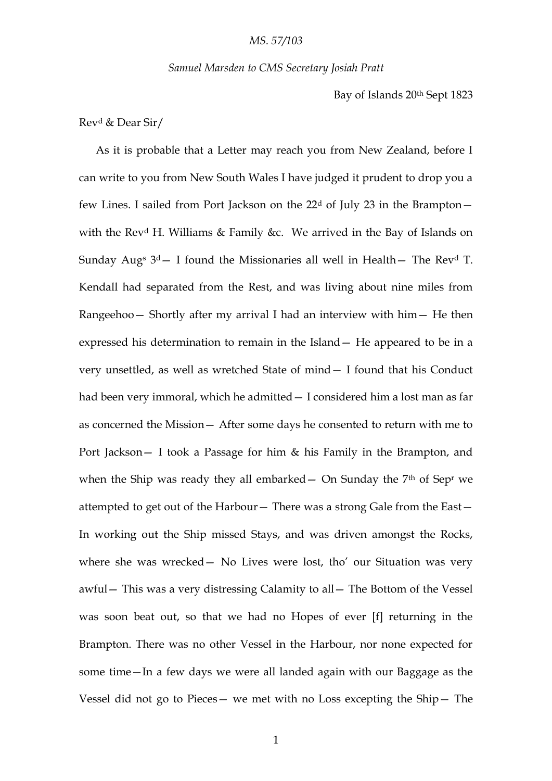#### *Samuel Marsden to CMS Secretary Josiah Pratt*

Bay of Islands 20th Sept 1823

### Rev<sup>d</sup> & Dear Sir/

As it is probable that a Letter may reach you from New Zealand, before I can write to you from New South Wales I have judged it prudent to drop you a few Lines. I sailed from Port Jackson on the  $22<sup>d</sup>$  of July 23 in the Brampton – with the Rev<sup>d</sup> H. Williams & Family &c. We arrived in the Bay of Islands on Sunday Aug<sup>s 3d</sup> – I found the Missionaries all well in Health – The Rev<sup>d</sup> T. Kendall had separated from the Rest, and was living about nine miles from Rangeehoo— Shortly after my arrival I had an interview with him— He then expressed his determination to remain in the Island— He appeared to be in a very unsettled, as well as wretched State of mind— I found that his Conduct had been very immoral, which he admitted— I considered him a lost man as far as concerned the Mission— After some days he consented to return with me to Port Jackson— I took a Passage for him & his Family in the Brampton, and when the Ship was ready they all embarked  $-$  On Sunday the  $7<sup>th</sup>$  of Sep<sup>r</sup> we attempted to get out of the Harbour— There was a strong Gale from the East— In working out the Ship missed Stays, and was driven amongst the Rocks, where she was wrecked - No Lives were lost, tho' our Situation was very awful— This was a very distressing Calamity to all— The Bottom of the Vessel was soon beat out, so that we had no Hopes of ever [f] returning in the Brampton. There was no other Vessel in the Harbour, nor none expected for some time—In a few days we were all landed again with our Baggage as the Vessel did not go to Pieces— we met with no Loss excepting the Ship— The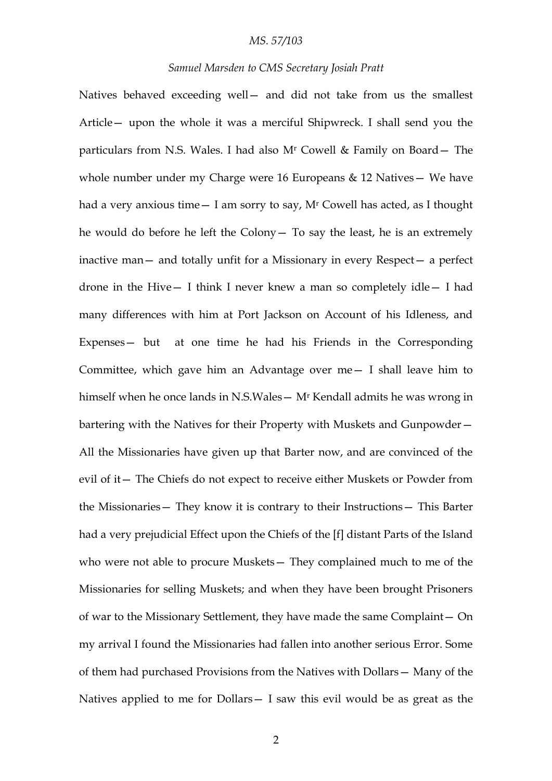#### *Samuel Marsden to CMS Secretary Josiah Pratt*

Natives behaved exceeding well— and did not take from us the smallest Article— upon the whole it was a merciful Shipwreck. I shall send you the particulars from N.S. Wales. I had also M<sup>r</sup> Cowell & Family on Board— The whole number under my Charge were 16 Europeans & 12 Natives - We have had a very anxious time – I am sorry to say, M<sup>r</sup> Cowell has acted, as I thought he would do before he left the Colony— To say the least, he is an extremely inactive man— and totally unfit for a Missionary in every Respect— a perfect drone in the Hive— I think I never knew a man so completely idle— I had many differences with him at Port Jackson on Account of his Idleness, and Expenses— but at one time he had his Friends in the Corresponding Committee, which gave him an Advantage over me— I shall leave him to himself when he once lands in N.S.Wales— M<sup>r</sup> Kendall admits he was wrong in bartering with the Natives for their Property with Muskets and Gunpowder— All the Missionaries have given up that Barter now, and are convinced of the evil of it— The Chiefs do not expect to receive either Muskets or Powder from the Missionaries— They know it is contrary to their Instructions— This Barter had a very prejudicial Effect upon the Chiefs of the [f] distant Parts of the Island who were not able to procure Muskets— They complained much to me of the Missionaries for selling Muskets; and when they have been brought Prisoners of war to the Missionary Settlement, they have made the same Complaint— On my arrival I found the Missionaries had fallen into another serious Error. Some of them had purchased Provisions from the Natives with Dollars— Many of the Natives applied to me for Dollars— I saw this evil would be as great as the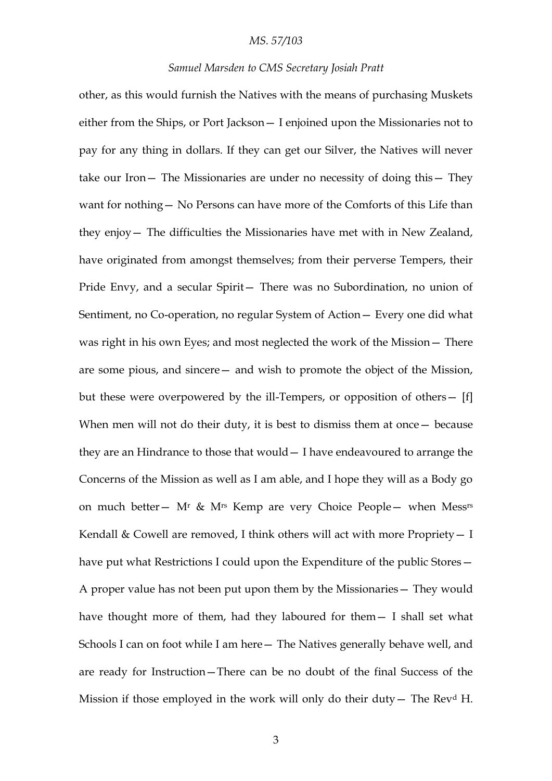#### *Samuel Marsden to CMS Secretary Josiah Pratt*

other, as this would furnish the Natives with the means of purchasing Muskets either from the Ships, or Port Jackson— I enjoined upon the Missionaries not to pay for any thing in dollars. If they can get our Silver, the Natives will never take our Iron— The Missionaries are under no necessity of doing this— They want for nothing— No Persons can have more of the Comforts of this Life than they enjoy— The difficulties the Missionaries have met with in New Zealand, have originated from amongst themselves; from their perverse Tempers, their Pride Envy, and a secular Spirit— There was no Subordination, no union of Sentiment, no Co-operation, no regular System of Action— Every one did what was right in his own Eyes; and most neglected the work of the Mission— There are some pious, and sincere— and wish to promote the object of the Mission, but these were overpowered by the ill-Tempers, or opposition of others— [f] When men will not do their duty, it is best to dismiss them at once – because they are an Hindrance to those that would— I have endeavoured to arrange the Concerns of the Mission as well as I am able, and I hope they will as a Body go on much better— M<sup>r</sup> & M<sup>rs</sup> Kemp are very Choice People— when Mess<sup>rs</sup> Kendall  $\&$  Cowell are removed, I think others will act with more Propriety  $- I$ have put what Restrictions I could upon the Expenditure of the public Stores – A proper value has not been put upon them by the Missionaries— They would have thought more of them, had they laboured for them— I shall set what Schools I can on foot while I am here— The Natives generally behave well, and are ready for Instruction—There can be no doubt of the final Success of the Mission if those employed in the work will only do their duty – The Rev<sup>d</sup> H.